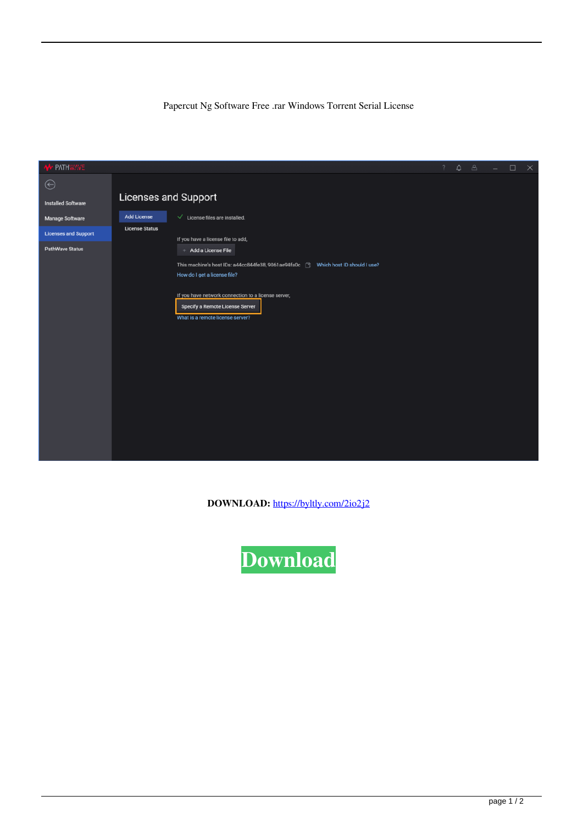## Papercut Ng Software Free .rar Windows Torrent Serial License

| <b>A</b> PATHWAVE           |                             |                                                                                     | $\gamma$ |  | $\begin{array}{ccccccccccccccccc} \bullet & \circ & \circ & \circ & \circ & \circ & \circ \end{array}$ |  | $\mathsf{X}$ |
|-----------------------------|-----------------------------|-------------------------------------------------------------------------------------|----------|--|--------------------------------------------------------------------------------------------------------|--|--------------|
| $_{\oplus}$                 |                             |                                                                                     |          |  |                                                                                                        |  |              |
| <b>Installed Software</b>   | <b>Licenses and Support</b> |                                                                                     |          |  |                                                                                                        |  |              |
| <b>Manage Software</b>      | <b>Add License</b>          | $\sqrt{\phantom{a}}$ License files are installed.                                   |          |  |                                                                                                        |  |              |
| <b>Licenses and Support</b> | <b>License Status</b>       | If you have a license file to add,                                                  |          |  |                                                                                                        |  |              |
| <b>PathWave Status</b>      |                             | + Add a License File                                                                |          |  |                                                                                                        |  |              |
|                             |                             | This machine's host IDs: a44cc844fe38, 9061ae94fa0c (N) Which host ID should I use? |          |  |                                                                                                        |  |              |
|                             |                             | How do I get a license file?                                                        |          |  |                                                                                                        |  |              |
|                             |                             | If you have network connection to a license server,                                 |          |  |                                                                                                        |  |              |
|                             |                             | Specify a Remote License Server<br>What is a remote license server?                 |          |  |                                                                                                        |  |              |
|                             |                             |                                                                                     |          |  |                                                                                                        |  |              |
|                             |                             |                                                                                     |          |  |                                                                                                        |  |              |
|                             |                             |                                                                                     |          |  |                                                                                                        |  |              |
|                             |                             |                                                                                     |          |  |                                                                                                        |  |              |
|                             |                             |                                                                                     |          |  |                                                                                                        |  |              |
|                             |                             |                                                                                     |          |  |                                                                                                        |  |              |
|                             |                             |                                                                                     |          |  |                                                                                                        |  |              |
|                             |                             |                                                                                     |          |  |                                                                                                        |  |              |
|                             |                             |                                                                                     |          |  |                                                                                                        |  |              |
|                             |                             |                                                                                     |          |  |                                                                                                        |  |              |

**DOWNLOAD:** <https://byltly.com/2io2j2>